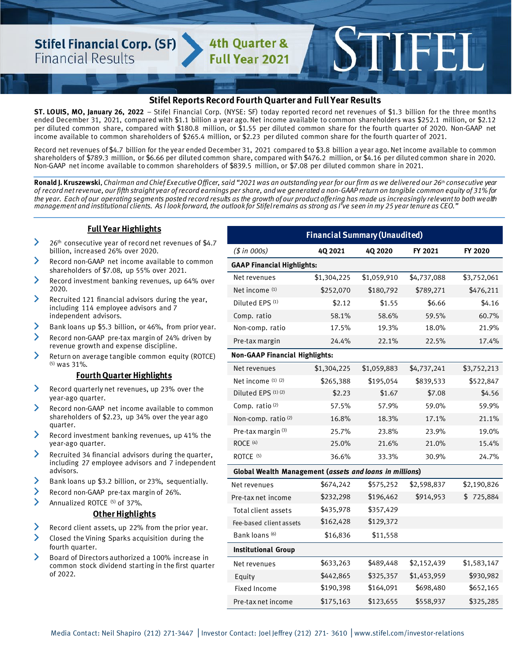# **Stifel Reports Record Fourth Quarter and Full Year Results**

4th Quarter &

**Full Year 2021** 

**ST. LOUIS, MO, January 26, 2022** – Stifel Financial Corp. (NYSE: SF) today reported record net revenues of \$1.3 billion for the three months ended December 31, 2021, compared with \$1.1 billion a year ago. Net income available to common shareholders was \$252.1 million, or \$2.12 per diluted common share, compared with \$180.8 million, or \$1.55 per diluted common share for the fourth quarter of 2020. Non-GAAP net income available to common shareholders of \$265.4 million, or \$2.23 per diluted common share for the fourth quarter of 2021.

Record net revenues of \$4.7 billion for the year ended December 31, 2021 compared to \$3.8 billion a year ago. Net income available to common shareholders of \$789.3 million, or \$6.66 per diluted common share, compared with \$476.2 million, or \$4.16 per diluted common share in 2020. Non-GAAP net income available to common shareholders of \$839.5 million, or \$7.08 per diluted common share in 2021.

**Ronald J. Kruszewski**, *Chairman and Chief Executive Officer, said "2021 was an outstanding year for our firm as we delivered our 26th consecutive year of record net revenue, our fifth straight year of record earnings per share, and we generated a non-GAAP return on tangible common equity of 31% for the year. Each of our operating segments posted record results as the growth of our product offering has made us increasingly relevant to both wealth management and institutional clients. As I look forward, the outlook for Stifel remains as strong as I've seen in my 25 year tenure as CEO."*

#### **Full Year Highlights**

**Stifel Financial Corp. (SF)** 

**Financial Results** 

- ゝ 26<sup>th</sup> consecutive year of record net revenues of \$4.7 billion, increased 26% over 2020.
- Record non-GAAP net income available to common shareholders of \$7.08, up 55% over 2021.
- ≻ Record investment banking revenues, up 64% over 2020.
- ≻ Recruited 121 financial advisors during the year, including 114 employee advisors and 7 independent advisors.
- ゝ Bank loans up \$5.3 billion, or 46%, from prior year.
- ⋗ Record non-GAAP pre-tax margin of 24% driven by revenue growth and expense discipline.
- ⋗ Return on average tangible common equity (ROTCE) (5) was 31%.

#### **Fourth Quarter Highlights**

- ⋗ Record quarterly net revenues, up 23% over the year-ago quarter.
- ゝ Record non-GAAP net income available to common shareholders of \$2.23, up 34% over the year ago quarter.
- ゝ Record investment banking revenues, up 41% the year-ago quarter.
- Recruited 34 financial advisors during the quarter, including 27 employee advisors and 7 independent advisors.
- ゝ Bank loans up \$3.2 billion, or 23%, sequentially.
- ゝ Record non-GAAP pre-tax margin of 26%.
- ゝ Annualized ROTCE (5) of 37%.

#### **Other Highlights**

- ゝ Record client assets, up 22% from the prior year.
- ゝ Closed the Vining Sparks acquisition during the fourth quarter.
- ゝ Board of Directors authorized a 100% increase in common stock dividend starting in the first quarter of 2022.

| <b>Financial Summary (Unaudited)</b>                    |             |             |             |               |  |  |  |  |
|---------------------------------------------------------|-------------|-------------|-------------|---------------|--|--|--|--|
| (\$in 000s)                                             | 4Q 2021     | 4Q 2020     | FY 2021     | FY 2020       |  |  |  |  |
| <b>GAAP Financial Highlights:</b>                       |             |             |             |               |  |  |  |  |
| Net revenues                                            | \$1,304,225 | \$1,059,910 | \$4,737,088 | \$3,752,061   |  |  |  |  |
| Net income (1)                                          | \$252,070   | \$180,792   | \$789,271   | \$476,211     |  |  |  |  |
| Diluted EPS (1)                                         | \$2.12      | \$1.55      | \$6.66      | \$4.16        |  |  |  |  |
| Comp. ratio                                             | 58.1%       | 58.6%       | 59.5%       | 60.7%         |  |  |  |  |
| Non-comp. ratio                                         | 17.5%       | 19.3%       | 18.0%       | 21.9%         |  |  |  |  |
| Pre-tax margin                                          | 24.4%       | 22.1%       | 22.5%       | 17.4%         |  |  |  |  |
| <b>Non-GAAP Financial Highlights:</b>                   |             |             |             |               |  |  |  |  |
| Net revenues                                            | \$1,304,225 | \$1,059,883 | \$4,737,241 | \$3,752,213   |  |  |  |  |
| Net income $(1)$ $(2)$                                  | \$265,388   | \$195,054   | \$839,533   | \$522,847     |  |  |  |  |
| Diluted EPS (1) (2)                                     | \$2.23      | \$1.67      | \$7.08      | \$4.56        |  |  |  |  |
| Comp. ratio <sup>(2)</sup>                              | 57.5%       | 57.9%       | 59.0%       | 59.9%         |  |  |  |  |
| Non-comp. ratio <sup>(2)</sup>                          | 16.8%       | 18.3%       | 17.1%       | 21.1%         |  |  |  |  |
| Pre-tax margin $(3)$                                    | 25.7%       | 23.8%       | 23.9%       | 19.0%         |  |  |  |  |
| ROCE <sup>(4)</sup>                                     | 25.0%       | 21.6%       | 21.0%       | 15.4%         |  |  |  |  |
| ROTCE <sup>(5)</sup>                                    | 36.6%       | 33.3%       | 30.9%       | 24.7%         |  |  |  |  |
| Global Wealth Management (assets and loans in millions) |             |             |             |               |  |  |  |  |
| Net revenues                                            | \$674,242   | \$575,252   | \$2,598,837 | \$2,190,826   |  |  |  |  |
| Pre-tax net income                                      | \$232,298   | \$196,462   | \$914,953   | \$<br>725,884 |  |  |  |  |
| Total client assets                                     | \$435,978   | \$357,429   |             |               |  |  |  |  |
| Fee-based client assets                                 | \$162,428   | \$129,372   |             |               |  |  |  |  |
| Bank loans (6)                                          | \$16,836    | \$11,558    |             |               |  |  |  |  |
| <b>Institutional Group</b>                              |             |             |             |               |  |  |  |  |
| Net revenues                                            | \$633,263   | \$489,448   | \$2,152,439 | \$1,583,147   |  |  |  |  |
| Equity                                                  | \$442,865   | \$325,357   | \$1,453,959 | \$930,982     |  |  |  |  |
| Fixed Income                                            | \$190,398   | \$164,091   | \$698,480   | \$652,165     |  |  |  |  |
| Pre-tax net income                                      | \$175,163   | \$123,655   | \$558,937   | \$325,285     |  |  |  |  |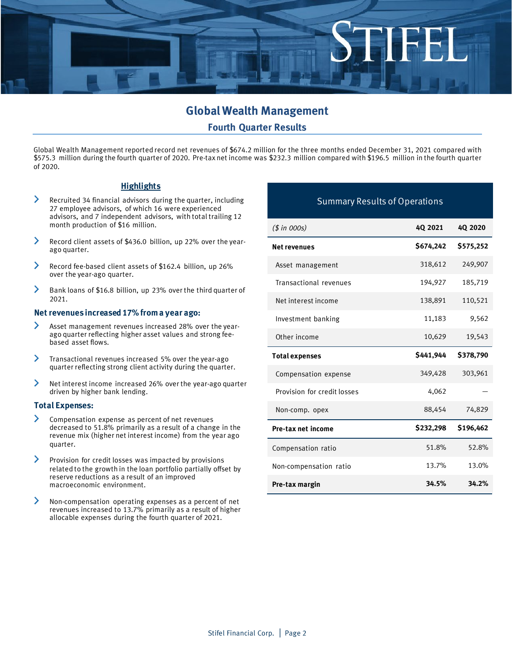

## **Global Wealth Management**

### **Fourth Quarter Results**

Global Wealth Management reported record net revenues of \$674.2 million for the three months ended December 31, 2021 compared with \$575.3 million during the fourth quarter of 2020. Pre-tax net income was \$232.3 million compared with \$196.5 million in the fourth quarter of 2020.

#### **Highlights**

- ⋗ Recruited 34 financial advisors during the quarter, including 27 employee advisors, of which 16 were experienced advisors, and 7 independent advisors, with total trailing 12 month production of \$16 million.
- ゝ Record client assets of \$436.0 billion, up 22% over the yearago quarter.
- ≻ Record fee-based client assets of \$162.4 billion, up 26% over the year-ago quarter.
- ≻ Bank loans of \$16.8 billion, up 23% over the third quarter of 2021.

#### **Net revenues increased 17% from a year ago:**

- ≻ Asset management revenues increased 28% over the yearago quarter reflecting higher asset values and strong feebased asset flows.
- ≻ Transactional revenues increased 5% over the year-ago quarter reflecting strong client activity during the quarter.
- ≻ Net interest income increased 26% over the year-ago quarter driven by higher bank lending.

#### **Total Expenses:**

- ⋗ Compensation expense as percent of net revenues decreased to 51.8% primarily as a result of a change in the revenue mix (higher net interest income) from the year ago quarter.
- ≻ Provision for credit losses was impacted by provisions related to the growth in the loan portfolio partially offset by reserve reductions as a result of an improved macroeconomic environment.
- ≻ Non-compensation operating expenses as a percent of net revenues increased to 13.7% primarily as a result of higher allocable expenses during the fourth quarter of 2021.

| (\$in 000s)                 | 4Q 2021   | 4Q 2020   |  |
|-----------------------------|-----------|-----------|--|
| <b>Net revenues</b>         | \$674,242 | \$575,252 |  |
| Asset management            | 318,612   | 249,907   |  |
| Transactional revenues      | 194.927   | 185,719   |  |
| Net interest income         | 138,891   | 110,521   |  |
| Investment banking          | 11,183    | 9,562     |  |
| Other income                | 10,629    | 19,543    |  |
| <b>Total expenses</b>       | \$441,944 | \$378,790 |  |
| Compensation expense        | 349,428   | 303,961   |  |
| Provision for credit losses | 4,062     |           |  |
| Non-comp. opex              | 88,454    | 74,829    |  |
| Pre-tax net income          | \$232,298 | \$196,462 |  |
| Compensation ratio          | 51.8%     | 52.8%     |  |
| Non-compensation ratio      | 13.7%     | 13.0%     |  |
| Pre-tax margin              | 34.5%     | 34.2%     |  |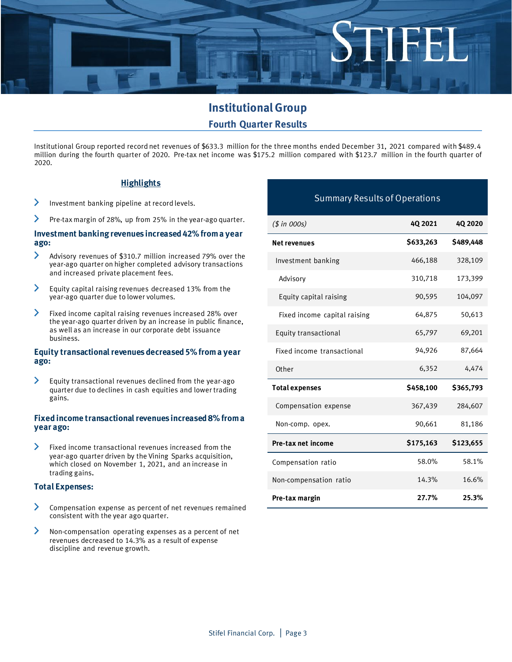

## **Institutional Group Fourth Quarter Results**

Institutional Group reported record net revenues of \$633.3 million for the three months ended December 31, 2021 compared with \$489.4 million during the fourth quarter of 2020. Pre-tax net income was \$175.2 million compared with \$123.7 million in the fourth quarter of 2020.

#### **Highlights**

- ≻ Investment banking pipeline at record levels.
- ≻ Pre-tax margin of 28%, up from 25% in the year-ago quarter.

#### **Investment banking revenues increased 42% from a year ago:**

- ≻ Advisory revenues of \$310.7 million increased 79% over the year-ago quarter on higher completed advisory transactions and increased private placement fees.
- ⋗ Equity capital raising revenues decreased 13% from the year-ago quarter due to lower volumes.
- ≻ Fixed income capital raising revenues increased 28% over the year-ago quarter driven by an increase in public finance, as well as an increase in our corporate debt issuance business.

#### **Equity transactional revenues decreased 5% from a year ago:**

≻ Equity transactional revenues declined from the year-ago quarter due to declines in cash equities and lower trading gains.

#### **Fixed income transactional revenues increased 8% from a year ago:**

≻ Fixed income transactional revenues increased from the year-ago quarter driven by the Vining Sparks acquisition, which closed on November 1, 2021, and an increase in trading gains.

#### **Total Expenses:**

- ⋗ Compensation expense as percent of net revenues remained consistent with the year ago quarter.
- ⋗ Non-compensation operating expenses as a percent of net revenues decreased to 14.3% as a result of expense discipline and revenue growth.

| (\$in 000s)                  | 4Q 2021   | 4Q 2020   |
|------------------------------|-----------|-----------|
| <b>Net revenues</b>          | \$633,263 | S489,448  |
| Investment banking           | 466,188   | 328,109   |
| Advisory                     | 310,718   | 173,399   |
| Equity capital raising       | 90,595    | 104,097   |
| Fixed income capital raising | 64,875    | 50,613    |
| Equity transactional         | 65,797    | 69,201    |
| Fixed income transactional   | 94,926    | 87,664    |
| Other                        | 6,352     | 4,474     |
| <b>Total expenses</b>        | \$458,100 | \$365,793 |
| Compensation expense         | 367,439   | 284,607   |
| Non-comp. opex.              | 90,661    | 81,186    |
| <b>Pre-tax net income</b>    | \$175,163 | \$123,655 |
| Compensation ratio           | 58.0%     | 58.1%     |
| Non-compensation ratio       | 14.3%     | 16.6%     |
| Pre-tax margin               | 27.7%     | 25.3%     |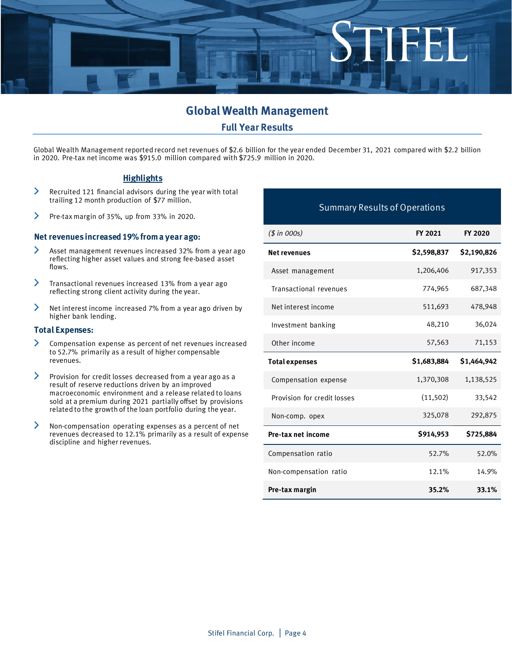

## **Global Wealth Management**

### **Full Year Results**

Global Wealth Management reported record net revenues of \$2.6 billion for the year ended December 31, 2021 compared with \$2.2 billion in 2020. Pre-tax net income was \$915.0 million compared with \$725.9 million in 2020.

#### **Highlights**

- ≻ Recruited 121 financial advisors during the year with total trailing 12 month production of \$77 million.
- ≻ Pre-tax margin of 35%, up from 33% in 2020.

#### **Net revenues increased 19% from a year ago:**

- ≻ Asset management revenues increased 32% from a year ago reflecting higher asset values and strong fee-based asset flows.
- ≻ Transactional revenues increased 13% from a year ago reflecting strong client activity during the year.
- $\blacktriangleright$ Net interest income increased 7% from a year ago driven by higher bank lending.

#### **Total Expenses:**

- ≻ Compensation expense as percent of net revenues increased to 52.7% primarily as a result of higher compensable revenues.
- ≻ Provision for credit losses decreased from a year ago as a result of reserve reductions driven by an improved macroeconomic environment and a release related to loans sold at a premium during 2021 partially offset by provisions related to the growth of the loan portfolio during the year.
- ≻ Non-compensation operating expenses as a percent of net revenues decreased to 12.1% primarily as a result of expense discipline and higher revenues.

| (\$in 000s)                 | FY 2021     | FY 2020     |  |
|-----------------------------|-------------|-------------|--|
| Net revenues                | \$2,598,837 | \$2,190,826 |  |
| Asset management            | 1,206,406   | 917,353     |  |
| Transactional revenues      | 774,965     | 687,348     |  |
| Net interest income         | 511,693     | 478,948     |  |
| Investment banking          | 48,210      | 36,024      |  |
| Other income                | 57,563      | 71,153      |  |
| <b>Total expenses</b>       | \$1,683,884 | \$1,464,942 |  |
| Compensation expense        | 1,370,308   | 1,138,525   |  |
| Provision for credit losses | (11, 502)   | 33,542      |  |
| Non-comp. opex              | 325,078     | 292,875     |  |
| Pre-tax net income          | \$914,953   | \$725,884   |  |
| Compensation ratio          | 52.7%       | 52.0%       |  |
| Non-compensation ratio      | 12.1%       | 14.9%       |  |
| Pre-tax margin              | 35.2%       | 33.1%       |  |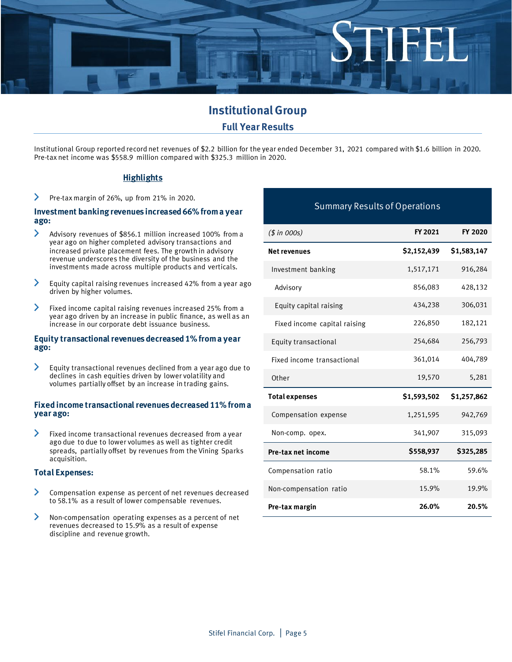

## **Institutional Group**

### **Full Year Results**

Institutional Group reported record net revenues of \$2.2 billion for the year ended December 31, 2021 compared with \$1.6 billion in 2020. Pre-tax net income was \$558.9 million compared with \$325.3 million in 2020.

#### **Highlights**

≻ Pre-tax margin of 26%, up from 21% in 2020.

#### **Investment banking revenues increased 66% from a year ago:**

- ⋟ Advisory revenues of \$856.1 million increased 100% from a year ago on higher completed advisory transactions and increased private placement fees. The growth in advisory revenue underscores the diversity of the business and the investments made across multiple products and verticals.
- ≻ Equity capital raising revenues increased 42% from a year ago driven by higher volumes.
- ≻ Fixed income capital raising revenues increased 25% from a year ago driven by an increase in public finance, as well as an increase in our corporate debt issuance business.

#### **Equity transactional revenues decreased 1% from a year ago:**

≻ Equity transactional revenues declined from a year ago due to declines in cash equities driven by lower volatility and volumes partially offset by an increase in trading gains.

#### **Fixed income transactional revenues decreased 11% from a year ago:**

≻ Fixed income transactional revenues decreased from a year ago due to due to lower volumes as well as tighter credit spreads, partially offset by revenues from the Vining Sparks acquisition.

#### **Total Expenses:**

- ≻ Compensation expense as percent of net revenues decreased to 58.1% as a result of lower compensable revenues.
- ⋗ Non-compensation operating expenses as a percent of net revenues decreased to 15.9% as a result of expense discipline and revenue growth.

| (\$in 000s)                  | FY 2021     | FY 2020     |
|------------------------------|-------------|-------------|
| <b>Net revenues</b>          | \$2,152,439 | \$1,583,147 |
| Investment banking           | 1,517,171   | 916,284     |
| Advisory                     | 856,083     | 428,132     |
| Equity capital raising       | 434,238     | 306,031     |
| Fixed income capital raising | 226,850     | 182,121     |
| Equity transactional         | 254,684     | 256,793     |
| Fixed income transactional   | 361,014     | 404,789     |
| Other                        | 19,570      | 5,281       |
| <b>Total expenses</b>        | \$1,593,502 | \$1,257,862 |
| Compensation expense         | 1,251,595   | 942,769     |
| Non-comp. opex.              | 341,907     | 315,093     |
| <b>Pre-tax net income</b>    | \$558,937   | \$325,285   |
| Compensation ratio           | 58.1%       | 59.6%       |
| Non-compensation ratio       | 15.9%       | 19.9%       |
| Pre-tax margin               | 26.0%       | 20.5%       |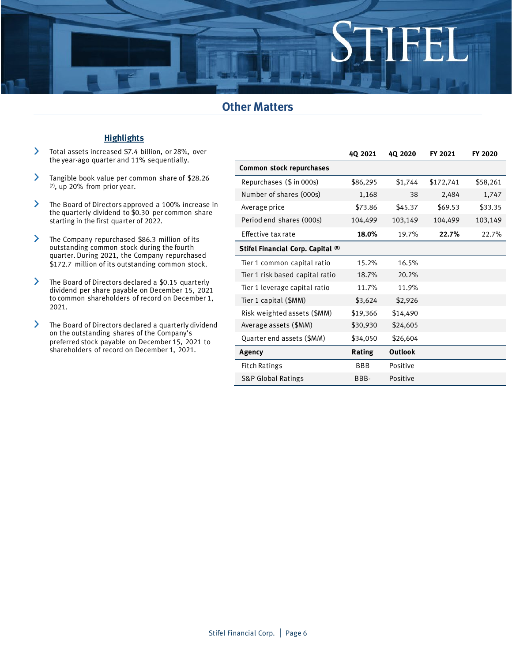

## **Other Matters**

### **Highlights**

- $\mathbf{\Sigma}$ Total assets increased \$7.4 billion, or 28%, over the year-ago quarter and 11% sequentially.
- ≻ Tangible book value per common share of \$28.26  $(7)$ , up 20% from prior year.
- Σ The Board of Directors approved a 100% increase in the quarterly dividend to \$0.30 per common share starting in the first quarter of 2022.
- ≻ The Company repurchased \$86.3 million of its outstanding common stock during the fourth quarter. During 2021, the Company repurchased \$172.7 million of its outstanding common stock.
- ≻ The Board of Directors declared a \$0.15 quarterly dividend per share payable on December 15, 2021 to common shareholders of record on December 1, 2021.
- ≻ The Board of Directors declared a quarterly dividend on the outstanding shares of the Company's preferred stock payable on December 15, 2021 to shareholders of record on December 1, 2021.

|                                    | 4Q 2021    | 4Q 2020        | FY 2021   | FY 2020  |
|------------------------------------|------------|----------------|-----------|----------|
| Common stock repurchases           |            |                |           |          |
| Repurchases (\$ in 000s)           | \$86,295   | \$1,744        | \$172,741 | \$58,261 |
| Number of shares (000s)            | 1,168      | 38             | 2,484     | 1,747    |
| Average price                      | \$73.86    | \$45.37        | \$69.53   | \$33.35  |
| Period end shares (000s)           | 104,499    | 103,149        | 104,499   | 103,149  |
| Effective tax rate                 | 18.0%      | 19.7%          | 22.7%     | 22.7%    |
| Stifel Financial Corp. Capital (8) |            |                |           |          |
| Tier 1 common capital ratio        | 15.2%      | 16.5%          |           |          |
| Tier 1 risk based capital ratio    | 18.7%      | 20.2%          |           |          |
| Tier 1 leverage capital ratio      | 11.7%      | 11.9%          |           |          |
| Tier 1 capital (\$MM)              | \$3,624    | \$2,926        |           |          |
| Risk weighted assets (\$MM)        | \$19,366   | \$14,490       |           |          |
| Average assets (\$MM)              | \$30,930   | \$24,605       |           |          |
| Quarter end assets (\$MM)          | \$34,050   | \$26,604       |           |          |
| Agency                             | Rating     | <b>Outlook</b> |           |          |
| <b>Fitch Ratings</b>               | <b>BBB</b> | Positive       |           |          |
| <b>S&amp;P Global Ratings</b>      | BBB-       | Positive       |           |          |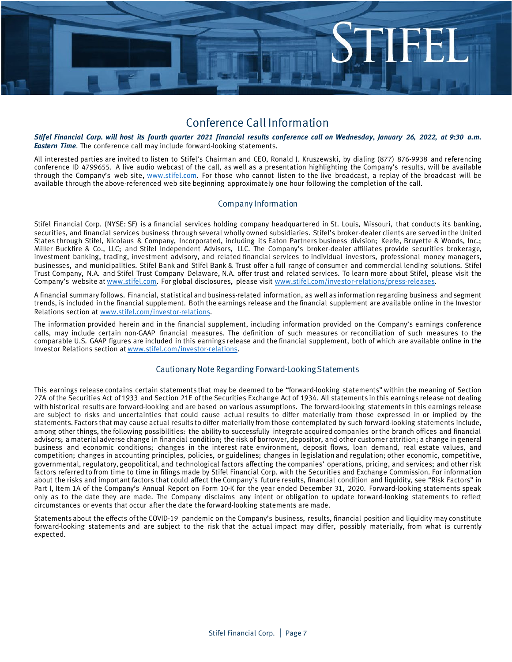

## Conference Call Information

*Stifel Financial Corp. will host its fourth quarter 2021 financial results conference call on Wednesday, January 26, 2022, at 9:30 a.m. Eastern Time.* The conference call may include forward-looking statements.

All interested parties are invited to listen to Stifel's Chairman and CEO, Ronald J. Kruszewski, by dialing (877) 876-9938 and referencing conference ID 4799655. A live audio webcast of the call, as well as a presentation highlighting the Company's results, will be available through the Company's web site, [www.stifel.com.](http://www.stifel.com/) For those who cannot listen to the live broadcast, a replay of the broadcast will be available through the above-referenced web site beginning approximately one hour following the completion of the call.

#### Company Information

Stifel Financial Corp. (NYSE: SF) is a financial services holding company headquartered in St. Louis, Missouri, that conducts its banking, securities, and financial services business through several wholly owned subsidiaries. Stifel's broker-dealer clients are served in the United States through Stifel, Nicolaus & Company, Incorporated, including its Eaton Partners business division; Keefe, Bruyette & Woods, Inc.; Miller Buckfire & Co., LLC; and Stifel Independent Advisors, LLC. The Company's broker-dealer affiliates provide securities brokerage, investment banking, trading, investment advisory, and related financial services to individual investors, professional money managers, businesses, and municipalities. Stifel Bank and Stifel Bank & Trust offer a full range of consumer and commercial lending solutions. Stifel Trust Company, N.A. and Stifel Trust Company Delaware, N.A. offer trust and related services. To learn more about Stifel, please visit the Company's website a[t www.stifel.com.](http://www.stifel.com/) For global disclosures, please visi[t www.stifel.com/investor-relations/press-releases.](http://www.stifel.com/investor-relations/press-releases)

A financial summary follows. Financial, statistical and business-related information, as well as information regarding business and segment trends, is included in the financial supplement. Both the earnings release and the financial supplement are available online in the Investor Relations section a[t www.stifel.com/investor-relations.](http://www.stifel.com/investor-relations)

The information provided herein and in the financial supplement, including information provided on the Company's earnings conference calls, may include certain non-GAAP financial measures. The definition of such measures or reconciliation of such measures to the comparable U.S. GAAP figures are included in this earnings release and the financial supplement, both of which are available online in the Investor Relations section at [www.stifel.com/investor-relations.](http://www.stifel.com/investor-relations)

#### Cautionary Note Regarding Forward-Looking Statements

This earnings release contains certain statements that may be deemed to be "forward-looking statements" within the meaning of Section 27A of the Securities Act of 1933 and Section 21E of the Securities Exchange Act of 1934. All statements in this earnings release not dealing with historical results are forward-looking and are based on various assumptions. The forward-looking statements in this earnings release are subject to risks and uncertainties that could cause actual results to differ materially from those expressed in or implied by the statements. Factors that may cause actual results to differ materially from those contemplated by such forward-looking statements include, among other things, the following possibilities: the ability to successfully integrate acquired companies or the branch offices and financial advisors; a material adverse change in financial condition; the risk of borrower, depositor, and other customer attrition; a change in general business and economic conditions; changes in the interest rate environment, deposit flows, loan demand, real estate values, and competition; changes in accounting principles, policies, or guidelines; changes in legislation and regulation; other economic, competitive, governmental, regulatory, geopolitical, and technological factors affecting the companies' operations, pricing, and services; and other risk factors referred to from time to time in filings made by Stifel Financial Corp. with the Securities and Exchange Commission. For information about the risks and important factors that could affect the Company's future results, financial condition and liquidity, see "Risk Factors" in Part I, Item 1A of the Company's Annual Report on Form 10-K for the year ended December 31, 2020. Forward-looking statements speak only as to the date they are made. The Company disclaims any intent or obligation to update forward-looking statements to reflect circumstances or events that occur after the date the forward-looking statements are made.

Statements about the effects of the COVID-19 pandemic on the Company's business, results, financial position and liquidity may constitute forward-looking statements and are subject to the risk that the actual impact may differ, possibly materially, from what is currently expected.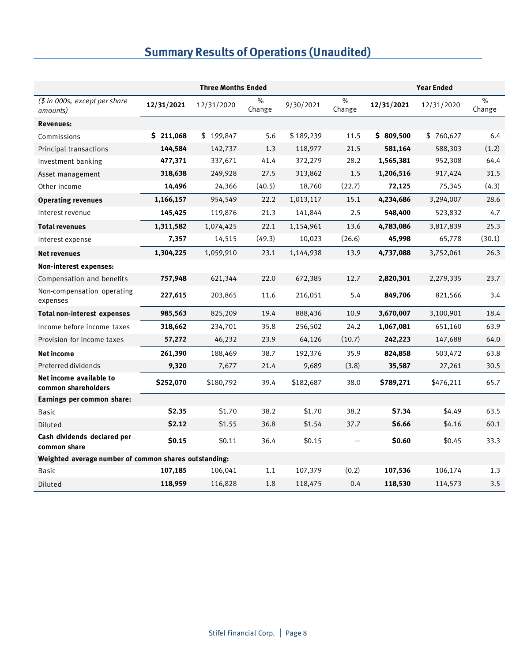# **Summary Results of Operations (Unaudited)**

|                                                       |            | <b>Three Months Ended</b> |             |           |             | Year Ended |            |                |
|-------------------------------------------------------|------------|---------------------------|-------------|-----------|-------------|------------|------------|----------------|
| $$$ in 000s, except per share<br>amounts)             | 12/31/2021 | 12/31/2020                | %<br>Change | 9/30/2021 | %<br>Change | 12/31/2021 | 12/31/2020 | $\%$<br>Change |
| <b>Revenues:</b>                                      |            |                           |             |           |             |            |            |                |
| Commissions                                           | \$211,068  | \$199,847                 | 5.6         | \$189,239 | 11.5        | \$809,500  | \$760,627  | 6.4            |
| Principal transactions                                | 144,584    | 142,737                   | 1.3         | 118,977   | 21.5        | 581,164    | 588,303    | (1.2)          |
| Investment banking                                    | 477,371    | 337,671                   | 41.4        | 372,279   | 28.2        | 1,565,381  | 952,308    | 64.4           |
| Asset management                                      | 318,638    | 249,928                   | 27.5        | 313,862   | 1.5         | 1,206,516  | 917,424    | 31.5           |
| Other income                                          | 14,496     | 24,366                    | (40.5)      | 18,760    | (22.7)      | 72,125     | 75,345     | (4.3)          |
| <b>Operating revenues</b>                             | 1,166,157  | 954,549                   | 22.2        | 1,013,117 | 15.1        | 4,234,686  | 3,294,007  | 28.6           |
| Interest revenue                                      | 145,425    | 119,876                   | 21.3        | 141,844   | 2.5         | 548,400    | 523,832    | 4.7            |
| <b>Total revenues</b>                                 | 1,311,582  | 1,074,425                 | 22.1        | 1,154,961 | 13.6        | 4,783,086  | 3,817,839  | 25.3           |
| Interest expense                                      | 7,357      | 14,515                    | (49.3)      | 10,023    | (26.6)      | 45,998     | 65,778     | (30.1)         |
| <b>Net revenues</b>                                   | 1,304,225  | 1,059,910                 | 23.1        | 1,144,938 | 13.9        | 4,737,088  | 3,752,061  | 26.3           |
| <b>Non-interest expenses:</b>                         |            |                           |             |           |             |            |            |                |
| Compensation and benefits                             | 757,948    | 621,344                   | 22.0        | 672,385   | 12.7        | 2,820,301  | 2,279,335  | 23.7           |
| Non-compensation operating<br>expenses                | 227,615    | 203,865                   | 11.6        | 216,051   | 5.4         | 849,706    | 821,566    | 3.4            |
| <b>Total non-interest expenses</b>                    | 985,563    | 825,209                   | 19.4        | 888,436   | 10.9        | 3,670,007  | 3,100,901  | 18.4           |
| Income before income taxes                            | 318,662    | 234,701                   | 35.8        | 256,502   | 24.2        | 1,067,081  | 651,160    | 63.9           |
| Provision for income taxes                            | 57,272     | 46,232                    | 23.9        | 64,126    | (10.7)      | 242,223    | 147,688    | 64.0           |
| Net income                                            | 261,390    | 188,469                   | 38.7        | 192,376   | 35.9        | 824,858    | 503,472    | 63.8           |
| Preferred dividends                                   | 9,320      | 7,677                     | 21.4        | 9,689     | (3.8)       | 35,587     | 27,261     | 30.5           |
| Net income available to<br>common shareholders        | \$252,070  | \$180,792                 | 39.4        | \$182,687 | 38.0        | \$789,271  | \$476,211  | 65.7           |
| Earnings per common share:                            |            |                           |             |           |             |            |            |                |
| <b>Basic</b>                                          | \$2.35     | \$1.70                    | 38.2        | \$1.70    | 38.2        | \$7.34     | \$4.49     | 63.5           |
| Diluted                                               | \$2.12     | \$1.55                    | 36.8        | \$1.54    | 37.7        | \$6.66     | \$4.16     | 60.1           |
| Cash dividends declared per<br>common share           | \$0.15     | \$0.11                    | 36.4        | \$0.15    |             | \$0.60     | \$0.45     | 33.3           |
| Weighted average number of common shares outstanding: |            |                           |             |           |             |            |            |                |
| Basic                                                 | 107,185    | 106,041                   | 1.1         | 107,379   | (0.2)       | 107,536    | 106,174    | 1.3            |
| Diluted                                               | 118,959    | 116,828                   | 1.8         | 118,475   | 0.4         | 118,530    | 114,573    | 3.5            |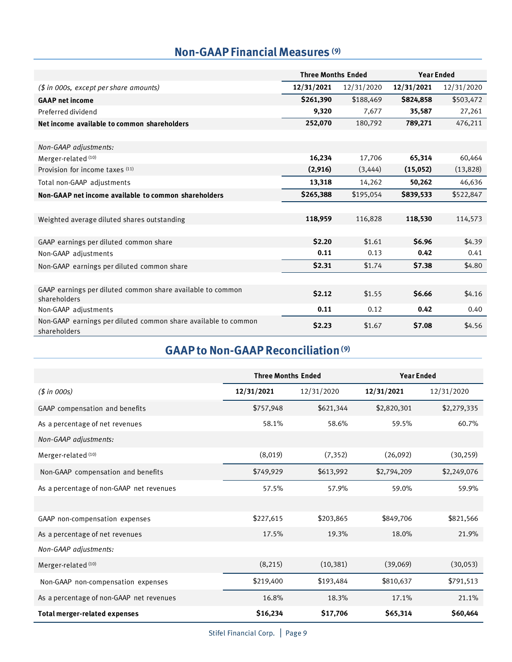## **Non-GAAP Financial Measures (9)**

|                                                                                | <b>Three Months Ended</b> |            | <b>Year Ended</b> |            |
|--------------------------------------------------------------------------------|---------------------------|------------|-------------------|------------|
| (\$ in 000s, except per share amounts)                                         | 12/31/2021                | 12/31/2020 | 12/31/2021        | 12/31/2020 |
| <b>GAAP net income</b>                                                         | \$261,390                 | \$188,469  | \$824,858         | \$503,472  |
| Preferred dividend                                                             | 9,320                     | 7,677      | 35,587            | 27,261     |
| Net income available to common shareholders                                    | 252,070                   | 180,792    | 789,271           | 476,211    |
|                                                                                |                           |            |                   |            |
| Non-GAAP adjustments:                                                          |                           |            |                   |            |
| Merger-related (10)                                                            | 16,234                    | 17,706     | 65,314            | 60,464     |
| Provision for income taxes (11)                                                | (2,916)                   | (3,444)    | (15,052)          | (13,828)   |
| Total non-GAAP adjustments                                                     | 13,318                    | 14,262     | 50,262            | 46,636     |
| Non-GAAP net income available to common shareholders                           | \$265,388                 | \$195,054  | \$839,533         | \$522,847  |
|                                                                                |                           |            |                   |            |
| Weighted average diluted shares outstanding                                    | 118,959                   | 116,828    | 118,530           | 114,573    |
|                                                                                |                           |            |                   |            |
| GAAP earnings per diluted common share                                         | \$2.20                    | \$1.61     | \$6.96            | \$4.39     |
| Non-GAAP adjustments                                                           | 0.11                      | 0.13       | 0.42              | 0.41       |
| Non-GAAP earnings per diluted common share                                     | \$2.31                    | \$1.74     | \$7.38            | \$4.80     |
|                                                                                |                           |            |                   |            |
| GAAP earnings per diluted common share available to common<br>shareholders     | \$2.12                    | \$1.55     | \$6.66            | \$4.16     |
| Non-GAAP adjustments                                                           | 0.11                      | 0.12       | 0.42              | 0.40       |
| Non-GAAP earnings per diluted common share available to common<br>shareholders | \$2.23                    | \$1.67     | \$7.08            | \$4.56     |

## GAAP to Non-GAAP Reconciliation<sup>(9)</sup>

|                                          | <b>Three Months Ended</b> |            | <b>Year Ended</b> |             |
|------------------------------------------|---------------------------|------------|-------------------|-------------|
| (\$in 000s)                              | 12/31/2021                | 12/31/2020 | 12/31/2021        | 12/31/2020  |
| GAAP compensation and benefits           | \$757,948                 | \$621,344  | \$2,820,301       | \$2,279,335 |
| As a percentage of net revenues          | 58.1%                     | 58.6%      | 59.5%             | 60.7%       |
| Non-GAAP adjustments:                    |                           |            |                   |             |
| Merger-related (10)                      | (8,019)                   | (7, 352)   | (26,092)          | (30, 259)   |
| Non-GAAP compensation and benefits       | \$749,929                 | \$613,992  | \$2,794,209       | \$2,249,076 |
| As a percentage of non-GAAP net revenues | 57.5%                     | 57.9%      | 59.0%             | 59.9%       |
|                                          |                           |            |                   |             |
| GAAP non-compensation expenses           | \$227,615                 | \$203,865  | \$849.706         | \$821,566   |
| As a percentage of net revenues          | 17.5%                     | 19.3%      | 18.0%             | 21.9%       |
| Non-GAAP adjustments:                    |                           |            |                   |             |
| Merger-related (10)                      | (8,215)                   | (10, 381)  | (39,069)          | (30,053)    |
| Non-GAAP non-compensation expenses       | \$219,400                 | \$193,484  | \$810,637         | \$791,513   |
| As a percentage of non-GAAP net revenues | 16.8%                     | 18.3%      | 17.1%             | 21.1%       |
| Total merger-related expenses            | \$16,234                  | \$17,706   | \$65,314          | \$60,464    |